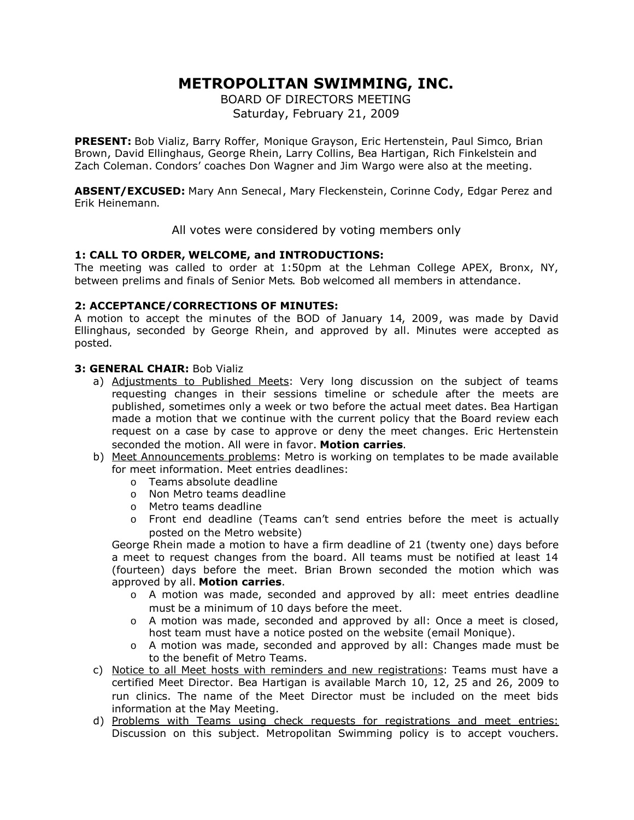# **METROPOLITAN SWIMMING, INC.**

BOARD OF DIRECTORS MEETING Saturday, February 21, 2009

**PRESENT:** Bob Vializ, Barry Roffer, Monique Grayson, Eric Hertenstein, Paul Simco, Brian Brown, David Ellinghaus, George Rhein, Larry Collins, Bea Hartigan, Rich Finkelstein and Zach Coleman. Condors' coaches Don Wagner and Jim Wargo were also at the meeting.

**ABSENT/EXCUSED:** Mary Ann Senecal, Mary Fleckenstein, Corinne Cody, Edgar Perez and Erik Heinemann.

All votes were considered by voting members only

# **1: CALL TO ORDER, WELCOME, and INTRODUCTIONS:**

The meeting was called to order at 1:50pm at the Lehman College APEX, Bronx, NY, between prelims and finals of Senior Mets. Bob welcomed all members in attendance.

## **2: ACCEPTANCE/CORRECTIONS OF MINUTES:**

A motion to accept the minutes of the BOD of January 14, 2009, was made by David Ellinghaus, seconded by George Rhein, and approved by all. Minutes were accepted as posted.

## **3: GENERAL CHAIR:** Bob Vializ

- a) Adjustments to Published Meets: Very long discussion on the subject of teams requesting changes in their sessions timeline or schedule after the meets are published, sometimes only a week or two before the actual meet dates. Bea Hartigan made a motion that we continue with the current policy that the Board review each request on a case by case to approve or deny the meet changes. Eric Hertenstein seconded the motion. All were in favor. **Motion carries**.
- b) Meet Announcements problems: Metro is working on templates to be made available for meet information. Meet entries deadlines:
	- o Teams absolute deadline
	- o Non Metro teams deadline
	- o Metro teams deadline
	- o Front end deadline (Teams can't send entries before the meet is actually posted on the Metro website)

George Rhein made a motion to have a firm deadline of 21 (twenty one) days before a meet to request changes from the board. All teams must be notified at least 14 (fourteen) days before the meet. Brian Brown seconded the motion which was approved by all. **Motion carries**.

- o A motion was made, seconded and approved by all: meet entries deadline must be a minimum of 10 days before the meet.
- o A motion was made, seconded and approved by all: Once a meet is closed, host team must have a notice posted on the website (email Monique).
- $\circ$  A motion was made, seconded and approved by all: Changes made must be to the benefit of Metro Teams.
- c) Notice to all Meet hosts with reminders and new registrations: Teams must have a certified Meet Director. Bea Hartigan is available March 10, 12, 25 and 26, 2009 to run clinics. The name of the Meet Director must be included on the meet bids information at the May Meeting.
- d) Problems with Teams using check requests for registrations and meet entries: Discussion on this subject. Metropolitan Swimming policy is to accept vouchers.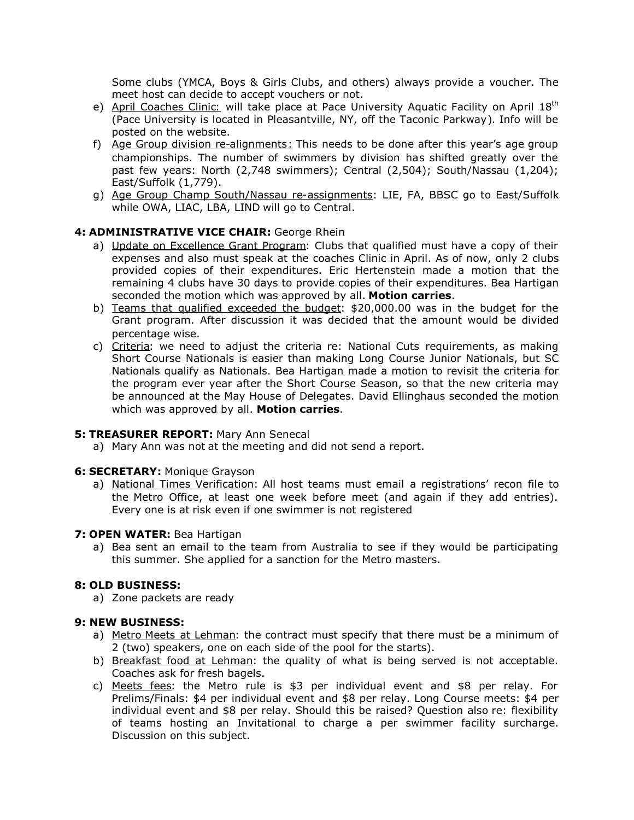Some clubs (YMCA, Boys & Girls Clubs, and others) always provide a voucher. The meet host can decide to accept vouchers or not.

- e) April Coaches Clinic: will take place at Pace University Aquatic Facility on April 18<sup>th</sup> (Pace University is located in Pleasantville, NY, off the Taconic Parkway). Info will be posted on the website.
- f) Age Group division re-alignments: This needs to be done after this year's age group championships. The number of swimmers by division has shifted greatly over the past few years: North (2,748 swimmers); Central (2,504); South/Nassau (1,204); East/Suffolk (1,779).
- g) Age Group Champ South/Nassau re-assignments: LIE, FA, BBSC go to East/Suffolk while OWA, LIAC, LBA, LIND will go to Central.

## **4: ADMINISTRATIVE VICE CHAIR:** George Rhein

- a) Update on Excellence Grant Program: Clubs that qualified must have a copy of their expenses and also must speak at the coaches Clinic in April. As of now, only 2 clubs provided copies of their expenditures. Eric Hertenstein made a motion that the remaining 4 clubs have 30 days to provide copies of their expenditures. Bea Hartigan seconded the motion which was approved by all. **Motion carries**.
- b) Teams that qualified exceeded the budget: \$20,000.00 was in the budget for the Grant program. After discussion it was decided that the amount would be divided percentage wise.
- c) Criteria: we need to adjust the criteria re: National Cuts requirements, as making Short Course Nationals is easier than making Long Course Junior Nationals, but SC Nationals qualify as Nationals. Bea Hartigan made a motion to revisit the criteria for the program ever year after the Short Course Season, so that the new criteria may be announced at the May House of Delegates. David Ellinghaus seconded the motion which was approved by all. **Motion carries**.

#### **5: TREASURER REPORT:** Mary Ann Senecal

a) Mary Ann was not at the meeting and did not send a report.

#### **6: SECRETARY:** Monique Grayson

a) National Times Verification: All host teams must email a registrations' recon file to the Metro Office, at least one week before meet (and again if they add entries). Every one is at risk even if one swimmer is not registered

#### **7: OPEN WATER:** Bea Hartigan

a) Bea sent an email to the team from Australia to see if they would be participating this summer. She applied for a sanction for the Metro masters.

## **8: OLD BUSINESS:**

a) Zone packets are ready

## **9: NEW BUSINESS:**

- a) Metro Meets at Lehman: the contract must specify that there must be a minimum of 2 (two) speakers, one on each side of the pool for the starts).
- b) Breakfast food at Lehman: the quality of what is being served is not acceptable. Coaches ask for fresh bagels.
- c) Meets fees: the Metro rule is \$3 per individual event and \$8 per relay. For Prelims/Finals: \$4 per individual event and \$8 per relay. Long Course meets: \$4 per individual event and \$8 per relay. Should this be raised? Question also re: flexibility of teams hosting an Invitational to charge a per swimmer facility surcharge. Discussion on this subject.